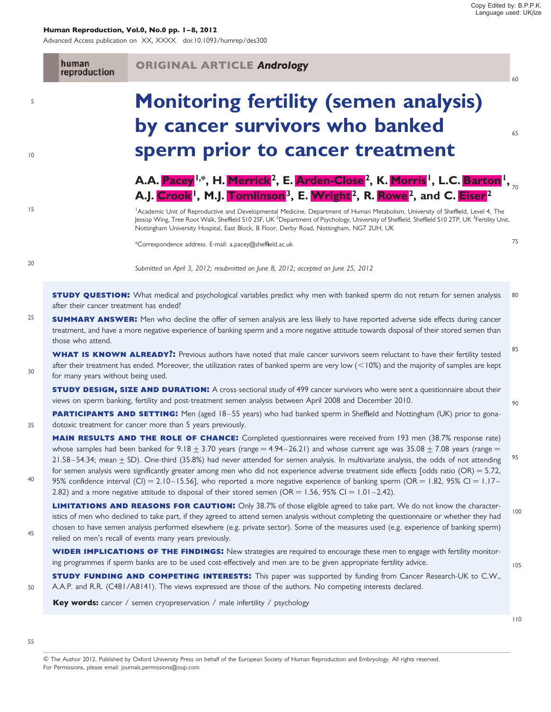#### Copy Edited by: B.P.P.K. Language used: UK/ize

#### Human Reproduction, Vol.0, No.0 pp. 1–8, 2012

Advanced Access publication on XX, XXXX doi:10.1093/humrep/des300

human reproduction

5

 $\overline{10}$ 

15

 $20$ 

25

30

40

45

50

tho

|                                         | <b>Monitoring fertility (semen analysis)</b><br>by cancer survivors who banked<br>sperm prior to cancer treatment                                                                                                                                                                                                                                                                                                                                                                                                                                                                                                                                                                                      | 65 |
|-----------------------------------------|--------------------------------------------------------------------------------------------------------------------------------------------------------------------------------------------------------------------------------------------------------------------------------------------------------------------------------------------------------------------------------------------------------------------------------------------------------------------------------------------------------------------------------------------------------------------------------------------------------------------------------------------------------------------------------------------------------|----|
|                                         | A.A. <mark>Pacey<sup>1,*</sup>, H. Merrick<sup>2</sup>, E. Arden-Close<sup>2</sup>, K. <mark>Morris<sup>1</sup>, L.C. Barton<sup>1</sup>, <sub>70</sub> A.J. Crook<sup>1</sup>, M.J. Tomlinson<sup>3</sup>, E. Wright<sup>2</sup>, R. Rowe<sup>2</sup>, and C. Eiser<sup>2</sup></mark></mark><br>Academic Unit of Reproductive and Developmental Medicine, Department of Human Metabolism, University of Sheffield, Level 4, The<br>Jessop Wing, Tree Root Walk, Sheffield S10 2SF, UK <sup>2</sup> Department of Psychology, University of Sheffield, Sheffield S10 2TP, UK <sup>3</sup> Fertility Unit,<br>Nottingham University Hospital, East Block, B Floor, Derby Road, Nottingham, NG7 2UH, UK |    |
|                                         | *Correspondence address. E-mail: a.pacey@sheffield.ac.uk<br>Submitted on April 3, 2012; resubmitted on June 8, 2012; accepted on June 25, 2012                                                                                                                                                                                                                                                                                                                                                                                                                                                                                                                                                         | 75 |
| after their cancer treatment has ended? | <b>STUDY QUESTION:</b> What medical and psychological variables predict why men with banked sperm do not return for semen analysis                                                                                                                                                                                                                                                                                                                                                                                                                                                                                                                                                                     | 80 |
| those who attend.                       | <b>SUMMARY ANSWER:</b> Men who decline the offer of semen analysis are less likely to have reported adverse side effects during cancer<br>treatment, and have a more negative experience of banking sperm and a more negative attitude towards disposal of their stored semen than                                                                                                                                                                                                                                                                                                                                                                                                                     |    |
| for many years without being used.      | WHAT IS KNOWN ALREADY?: Previous authors have noted that male cancer survivors seem reluctant to have their fertility tested<br>after their treatment has ended. Moreover, the utilization rates of banked sperm are very low ( $<$ 10%) and the majority of samples are kept                                                                                                                                                                                                                                                                                                                                                                                                                          | 85 |
|                                         |                                                                                                                                                                                                                                                                                                                                                                                                                                                                                                                                                                                                                                                                                                        |    |

**STUDY DESIGN, SIZE AND DURATION:** A cross-sectional study of 499 cancer survivors who were sent a questionnaire about their views on sperm banking, fertility and post-treatment semen analysis between April 2008 and December 2010.

PARTICIPANTS AND SETTING: Men (aged 18-55 years) who had banked sperm in Sheffield and Nottingham (UK) prior to gonadotoxic treatment for cancer more than 5 years previously. 35

**MAIN RESULTS AND THE ROLE OF CHANCE:** Completed questionnaires were received from 193 men (38.7% response rate) whose samples had been banked for  $9.18 + 3.70$  years (range = 4.94 – 26.21) and whose current age was  $35.08 + 7.08$  years (range = 21.58 – 54.34; mean  $\pm$  SD). One-third (35.8%) had never attended for semen analysis. In multivariate analysis, the odds of not attending for semen analysis were significantly greater among men who did not experience adverse treatment side effects [odds ratio (OR) = 5.72, 95% confidence interval  $(CI) = 2.10 - 15.56$ ], who reported a more negative experience of banking sperm  $(OR = 1.82, 95\% \text{ Cl} = 1.17 - 1.17)$ 

2.82) and a more negative attitude to disposal of their stored semen (OR = 1.56, 95% CI =  $1.01 - 2.42$ ). **LIMITATIONS AND REASONS FOR CAUTION:** Only 38.7% of those eligible agreed to take part. We do not know the character-

istics of men who declined to take part, if they agreed to attend semen analysis without completing the questionnaire or whether they had chosen to have semen analysis performed elsewhere (e.g. private sector). Some of the measures used (e.g. experience of banking sperm) relied on men's recall of events many years previously. 100

WIDER IMPLICATIONS OF THE FINDINGS: New strategies are required to encourage these men to engage with fertility monitoring programmes if sperm banks are to be used cost-effectively and men are to be given appropriate fertility advice.

**STUDY FUNDING AND COMPETING INTERESTS:** This paper was supported by funding from Cancer Research-UK to C.W., A.A.P. and R.R. (C481/A8141). The views expressed are those of the authors. No competing interests declared.

Key words: cancer / semen cryopreservation / male infertility / psychology

60

95

90

<sup>55</sup>

<sup>&</sup>amp; The Author 2012. Published by Oxford University Press on behalf of the European Society of Human Reproduction and Embryology. All rights reserved. For Permissions, please email: journals.permissions@oup.com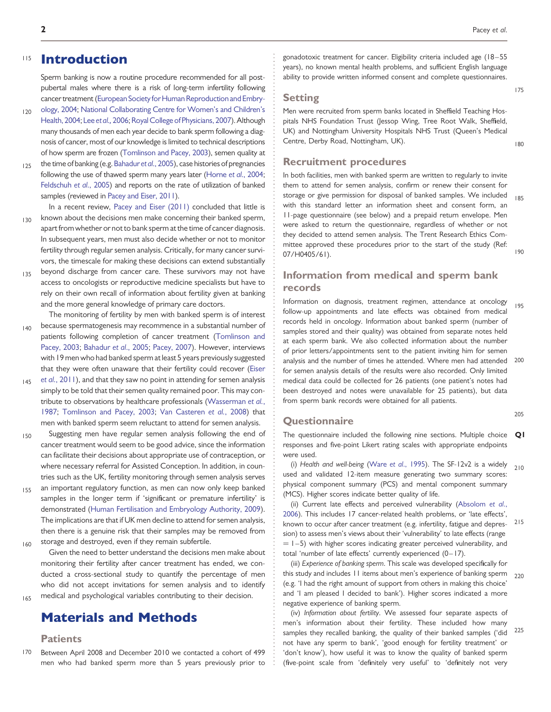Men were recruited from sperm banks located in Sheffield Teaching Hospitals NHS Foundation Trust (Jessop Wing, Tree Root Walk, Sheffield, UK) and Nottingham University Hospitals NHS Trust (Queen's Medical Centre, Derby Road, Nottingham, UK).

gonadotoxic treatment for cancer. Eligibility criteria included age (18– 55 years), no known mental health problems, and sufficient English language ability to provide written informed consent and complete questionnaires.

### Recruitment procedures

**Setting** 

In both facilities, men with banked sperm are written to regularly to invite them to attend for semen analysis, confirm or renew their consent for storage or give permission for disposal of banked samples. We included with this standard letter an information sheet and consent form, an 11-page questionnaire (see below) and a prepaid return envelope. Men were asked to return the questionnaire, regardless of whether or not they decided to attend semen analysis. The Trent Research Ethics Committee approved these procedures prior to the start of the study (Ref: 07/H0405/61). 185 190

### Information from medical and sperm bank records

Information on diagnosis, treatment regimen, attendance at oncology follow-up appointments and late effects was obtained from medical records held in oncology. Information about banked sperm (number of samples stored and their quality) was obtained from separate notes held at each sperm bank. We also collected information about the number of prior letters/appointments sent to the patient inviting him for semen analysis and the number of times he attended. Where men had attended 200 for semen analysis details of the results were also recorded. Only limited medical data could be collected for 26 patients (one patient's notes had been destroyed and notes were unavailable for 25 patients), but data from sperm bank records were obtained for all patients. 195

**Questionnaire** 

The questionnaire included the following nine sections. Multiple choice QI responses and five-point Likert rating scales with appropriate endpoints were used.

(i) Health and well-being (Ware et al[., 1995\)](#page-7-0). The SF-12v2 is a widely used and validated 12-item measure generating two summary scores: physical component summary (PCS) and mental component summary (MCS). Higher scores indicate better quality of life. 210

(ii) Current late effects and perceived vulnerability [\(Absolom](#page-7-0) et al., [2006\)](#page-7-0). This includes 17 cancer-related health problems, or 'late effects', known to occur after cancer treatment (e.g. infertility, fatigue and depres-215 sion) to assess men's views about their 'vulnerability' to late effects (range  $= 1-5$ ) with higher scores indicating greater perceived vulnerability, and total 'number of late effects' currently experienced  $(0-17)$ .

(iii) Experience of banking sperm. This scale was developed specifically for this study and includes 11 items about men's experience of banking sperm  $_{22}$ (e.g. 'I had the right amount of support from others in making this choice' and 'I am pleased I decided to bank'). Higher scores indicated a more negative experience of banking sperm.

(iv) Information about fertility. We assessed four separate aspects of men's information about their fertility. These included how many samples they recalled banking, the quality of their banked samples ('did <sup>225</sup> not have any sperm to bank', 'good enough for fertility treatment' or 'don't know'), how useful it was to know the quality of banked sperm (five-point scale from 'definitely very useful' to 'definitely not very

#### Introduction 115

Sperm banking is now a routine procedure recommended for all postpubertal males where there is a risk of long-term infertility following cancer treatment [\(European Society for Human Reproduction and Embry-](#page-7-0)

- [ology, 2004;](#page-7-0) [National Collaborating Centre for Women's and Children's](#page-7-0) [Health, 2004](#page-7-0); Lee et al., 2006; Royal College of Physicians, 2007). Although many thousands of men each year decide to bank sperm following a diagnosis of cancer, most of our knowledge is limited to technical descriptions of how sperm are frozen [\(Tomlinson and Pacey, 2003](#page-7-0)), semen quality at  $120$
- the time of banking (e.g. [Bahadur](#page-7-0) et al., 2005), case histories of pregnancies following the use of thawed sperm many years later [\(Horne](#page-7-0) et al., 2004; [Feldschuh](#page-7-0) et al., 2005) and reports on the rate of utilization of banked samples (reviewed in [Pacey and Eiser, 2011\)](#page-7-0).  $125$

In a recent review, [Pacey and Eiser \(2011\)](#page-7-0) concluded that little is known about the decisions men make concerning their banked sperm, apart from whether or not to bank sperm at the time of cancer diagnosis. 130

- In subsequent years, men must also decide whether or not to monitor fertility through regular semen analysis. Critically, for many cancer survivors, the timescale for making these decisions can extend substantially
- beyond discharge from cancer care. These survivors may not have access to oncologists or reproductive medicine specialists but have to rely on their own recall of information about fertility given at banking and the more general knowledge of primary care doctors. 135

The monitoring of fertility by men with banked sperm is of interest

- because spermatogenesis may recommence in a substantial number of patients following completion of cancer treatment ([Tomlinson and](#page-7-0) [Pacey, 2003](#page-7-0); [Bahadur](#page-7-0) et al., 2005; [Pacey, 2007](#page-7-0)). However, interviews with 19 men who had banked sperm at least 5 years previously suggested that they were often unaware that their fertility could recover ([Eiser](#page-7-0) 140
- et al.[, 2011](#page-7-0)), and that they saw no point in attending for semen analysis simply to be told that their semen quality remained poor. This may contribute to observations by healthcare professionals ([Wasserman](#page-7-0) et al., [1987](#page-7-0); [Tomlinson and Pacey, 2003;](#page-7-0) [Van Casteren](#page-7-0) et al., 2008) that men with banked sperm seem reluctant to attend for semen analysis. 145
- Suggesting men have regular semen analysis following the end of cancer treatment would seem to be good advice, since the information can facilitate their decisions about appropriate use of contraception, or where necessary referral for Assisted Conception. In addition, in countries such as the UK, fertility monitoring through semen analysis serves 150
- an important regulatory function, as men can now only keep banked samples in the longer term if 'significant or premature infertility' is demonstrated ([Human Fertilisation and Embryology Authority, 2009\)](#page-7-0). The implications are that if UK men decline to attend for semen analysis, then there is a genuine risk that their samples may be removed from storage and destroyed, even if they remain subfertile. 155

160

165

Given the need to better understand the decisions men make about monitoring their fertility after cancer treatment has ended, we conducted a cross-sectional study to quantify the percentage of men who did not accept invitations for semen analysis and to identify medical and psychological variables contributing to their decision.

### Materials and Methods

#### **Patients**

Between April 2008 and December 2010 we contacted a cohort of 499 men who had banked sperm more than 5 years previously prior to 170

205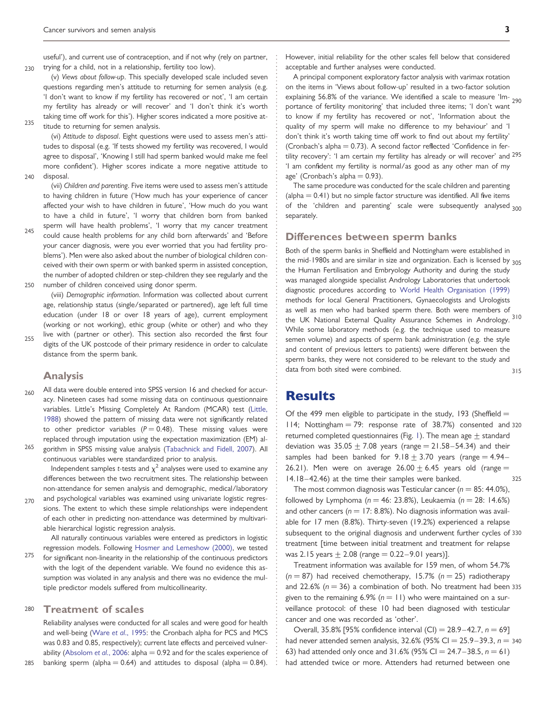useful'), and current use of contraception, and if not why (rely on partner, trying for a child, not in a relationship, fertility too low). 230

(v) Views about follow-up. This specially developed scale included seven questions regarding men's attitude to returning for semen analysis (e.g. 'I don't want to know if my fertility has recovered or not', 'I am certain my fertility has already or will recover' and 'I don't think it's worth taking time off work for this'). Higher scores indicated a more positive attitude to returning for semen analysis.

(vi) Attitude to disposal. Eight questions were used to assess men's attitudes to disposal (e.g. 'If tests showed my fertility was recovered, I would agree to disposal', 'Knowing I still had sperm banked would make me feel more confident'). Higher scores indicate a more negative attitude to disposal.

(vii) Children and parenting. Five items were used to assess men's attitude to having children in future ('How much has your experience of cancer affected your wish to have children in future', 'How much do you want to have a child in future', 'I worry that children born from banked sperm will have health problems', 'I worry that my cancer treatment

could cause health problems for any child born afterwards' and 'Before your cancer diagnosis, were you ever worried that you had fertility problems'). Men were also asked about the number of biological children conceived with their own sperm or with banked sperm in assisted conception, the number of adopted children or step-children they see regularly and the number of children conceived using donor sperm. 245 250

(viii) Demographic information. Information was collected about current age, relationship status (single/separated or partnered), age left full time education (under 18 or over 18 years of age), current employment (working or not working), ethic group (white or other) and who they live with (partner or other). This section also recorded the first four

digits of the UK postcode of their primary residence in order to calculate distance from the sperm bank. 255

#### Analysis

 $235$ 

 $240$ 

All data were double entered into SPSS version 16 and checked for accuracy. Nineteen cases had some missing data on continuous questionnaire variables. Little's Missing Completely At Random (MCAR) test ([Little,](#page-7-0) [1988](#page-7-0)) showed the pattern of missing data were not significantly related to other predictor variables ( $P = 0.48$ ). These missing values were replaced through imputation using the expectation maximization (EM) algorithm in SPSS missing value analysis [\(Tabachnick and Fidell, 2007\)](#page-7-0). All 260 265

continuous variables were standardized prior to analysis.

Independent samples t-tests and  $\chi^2$  analyses were used to examine any differences between the two recruitment sites. The relationship between non-attendance for semen analysis and demographic, medical/laboratory

and psychological variables was examined using univariate logistic regressions. The extent to which these simple relationships were independent of each other in predicting non-attendance was determined by multivariable hierarchical logistic regression analysis. 270

All naturally continuous variables were entered as predictors in logistic regression models. Following [Hosmer and Lemeshow \(2000\)](#page-7-0), we tested

for significant non-linearity in the relationship of the continuous predictors with the logit of the dependent variable. We found no evidence this assumption was violated in any analysis and there was no evidence the multiple predictor models suffered from multicollinearity. 275

#### Treatment of scales 280

Reliability analyses were conducted for all scales and were good for health and well-being (Ware et al[., 1995:](#page-7-0) the Cronbach alpha for PCS and MCS was 0.83 and 0.85, respectively); current late effects and perceived vulner-ability [\(Absolom](#page-7-0) et al., 2006: alpha  $= 0.92$  and for the scales experience of

banking sperm (alpha  $= 0.64$ ) and attitudes to disposal (alpha  $= 0.84$ ). 285

However, initial reliability for the other scales fell below that considered acceptable and further analyses were conducted.

A principal component exploratory factor analysis with varimax rotation on the items in 'Views about follow-up' resulted in a two-factor solution explaining 56.8% of the variance. We identified a scale to measure 'Importance of fertility monitoring' that included three items; 'I don't want to know if my fertility has recovered or not', 'Information about the quality of my sperm will make no difference to my behaviour' and 'I don't think it's worth taking time off work to find out about my fertility' (Cronbach's alpha  $= 0.73$ ). A second factor reflected 'Confidence in fertility recovery': 'I am certain my fertility has already or will recover' and 295 'I am confident my fertility is normal/as good as any other man of my age' (Cronbach's alpha  $= 0.93$ ).

The same procedure was conducted for the scale children and parenting (alpha  $= 0.41$ ) but no simple factor structure was identified. All five items of the 'children and parenting' scale were subsequently analysed <sub>300</sub> separately.

#### Differences between sperm banks

Both of the sperm banks in Sheffield and Nottingham were established in the mid-1980s and are similar in size and organization. Each is licensed by <sub>305</sub> the Human Fertilisation and Embryology Authority and during the study was managed alongside specialist Andrology Laboratories that undertook diagnostic procedures according to [World Health Organisation \(1999\)](#page-7-0) methods for local General Practitioners, Gynaecologists and Urologists as well as men who had banked sperm there. Both were members of the UK National External Quality Assurance Schemes in Andrology. <sup>310</sup> While some laboratory methods (e.g. the technique used to measure semen volume) and aspects of sperm bank administration (e.g. the style and content of previous letters to patients) were different between the sperm banks, they were not considered to be relevant to the study and data from both sited were combined. 315

### **Results**

Of the 499 men eligible to participate in the study, 193 (Sheffield  $=$  $114$ ; Nottingham = 79: response rate of 38.7%) consented and 320 returned completed questionnaires (Fig. [1\)](#page-3-0). The mean age  $\pm$  standard deviation was  $35.05 + 7.08$  years (range = 21.58 – 54.34) and their samples had been banked for  $9.18 \pm 3.70$  years (range = 4.94 – 26.21). Men were on average  $26.00 + 6.45$  years old (range = 14.18–42.46) at the time their samples were banked. 325

The most common diagnosis was Testicular cancer ( $n = 85: 44.0\%$ ), followed by Lymphoma ( $n = 46$ : 23.8%), Leukaemia ( $n = 28$ : 14.6%) and other cancers ( $n = 17: 8.8\%$ ). No diagnosis information was available for 17 men (8.8%). Thirty-seven (19.2%) experienced a relapse subsequent to the original diagnosis and underwent further cycles of 330 treatment [time between initial treatment and treatment for relapse was 2.15 years  $\pm$  2.08 (range  $=$  0.22 – 9.01 years)].

Treatment information was available for 159 men, of whom 54.7%  $(n = 87)$  had received chemotherapy, 15.7%  $(n = 25)$  radiotherapy and 22.6%  $(n = 36)$  a combination of both. No treatment had been 335 given to the remaining 6.9% ( $n = 11$ ) who were maintained on a surveillance protocol: of these 10 had been diagnosed with testicular cancer and one was recorded as 'other'.

Overall,  $35.8\%$  [95% confidence interval (CI) =  $28.9-42.7$ ,  $n = 69$ ] had never attended semen analysis,  $32.6\%$  (95% Cl = 25.9-39.3,  $n = 340$ 63) had attended only once and  $31.6\%$  (95% CI = 24.7–38.5,  $n = 61$ ) had attended twice or more. Attenders had returned between one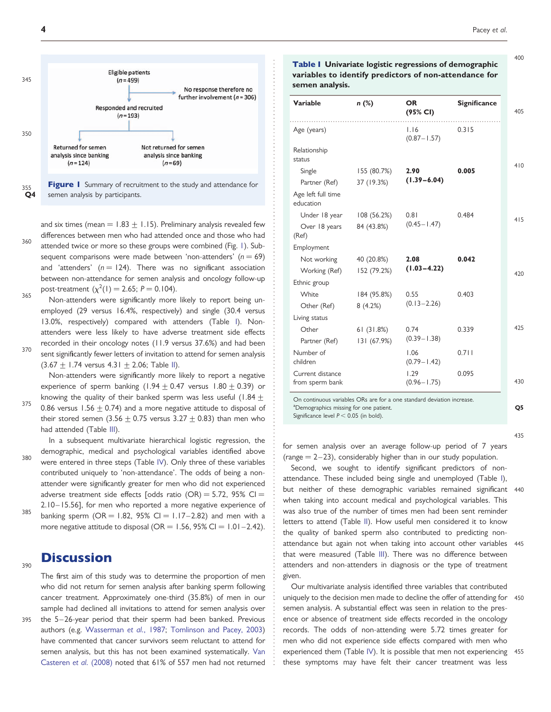<span id="page-3-0"></span>

Q4 semen analysis by participants.

and six times (mean =  $1.83 + 1.15$ ). Preliminary analysis revealed few differences between men who had attended once and those who had attended twice or more so these groups were combined (Fig. 1). Subsequent comparisons were made between 'non-attenders' ( $n = 69$ ) and 'attenders'  $(n = 124)$ . There was no significant association between non-attendance for semen analysis and oncology follow-up post-treatment  $(\chi^2(1) = 2.65; P = 0.104)$ . 360 365

recorded in their oncology notes (11.9 versus 37.6%) and had been sent significantly fewer letters of invitation to attend for semen analysis  $(3.67 + 1.74$  versus  $4.31 + 2.06$ ; Table [II\)](#page-4-0). 370

Non-attenders were significantly more likely to report a negative experience of sperm banking (1.94  $\pm$  0.47 versus 1.80  $\pm$  0.39) or knowing the quality of their banked sperm was less useful (1.84  $\pm$ 

Non-attenders were significantly more likely to report being unemployed (29 versus 16.4%, respectively) and single (30.4 versus 13.0%, respectively) compared with attenders (Table I). Nonattenders were less likely to have adverse treatment side effects

0.86 versus 1.56  $\pm$  0.74) and a more negative attitude to disposal of their stored semen (3.56  $\pm$  0.75 versus 3.27  $\pm$  0.83) than men who had attended (Table [III](#page-5-0)). 375

In a subsequent multivariate hierarchical logistic regression, the demographic, medical and psychological variables identified above were entered in three steps (Table [IV](#page-6-0)). Only three of these variables contributed uniquely to 'non-attendance'. The odds of being a nonattender were significantly greater for men who did not experienced adverse treatment side effects [odds ratio (OR) = 5.72, 95% CI = 2.10 –15.56], for men who reported a more negative experience of 380

banking sperm (OR = 1.82, 95% CI = 1.17-2.82) and men with a more negative attitude to disposal ( $OR = 1.56$ ,  $95\%$  CI =  $1.01 - 2.42$ ). 385

### **Discussion**

395

390

The first aim of this study was to determine the proportion of men who did not return for semen analysis after banking sperm following cancer treatment. Approximately one-third (35.8%) of men in our sample had declined all invitations to attend for semen analysis over the 5– 26-year period that their sperm had been banked. Previous authors (e.g. [Wasserman](#page-7-0) et al., 1987; [Tomlinson and Pacey, 2003\)](#page-7-0) have commented that cancer survivors seem reluctant to attend for semen analysis, but this has not been examined systematically. [Van](#page-7-0) [Casteren](#page-7-0) et al. (2008) noted that 61% of 557 men had not returned

Table I Univariate logistic regressions of demographic variables to identify predictors of non-attendance for semen analysis.

| Variable                                      | $n$ (%)                   | <b>OR</b><br>(95% CI)   | <b>Significance</b> |
|-----------------------------------------------|---------------------------|-------------------------|---------------------|
| Age (years)                                   |                           | 1.16<br>$(0.87 - 1.57)$ | 0.315               |
| Relationship<br>status                        |                           |                         |                     |
| Single<br>Partner (Ref)<br>Age left full time | 155 (80.7%)<br>37 (19.3%) | 2.90<br>$(1.39 - 6.04)$ | 0.005               |
| education                                     |                           |                         |                     |
| Under 18 year<br>Over 18 years<br>(Ref)       | 108 (56.2%)<br>84 (43.8%) | 0.81<br>$(0.45 - 1.47)$ | 0.484               |
| Employment                                    |                           |                         |                     |
| Not working<br>Working (Ref)                  | 40 (20.8%)<br>152 (79.2%) | 2.08<br>$(1.03 - 4.22)$ | 0.042               |
| Ethnic group                                  |                           |                         |                     |
| White<br>Other (Ref)                          | 184 (95.8%)<br>8(4.2%)    | 0.55<br>$(0.13 - 2.26)$ | 0.403               |
| Living status                                 |                           |                         |                     |
| Other<br>Partner (Ref)                        | 61(31.8%)<br>131 (67.9%)  | 0.74<br>$(0.39 - 1.38)$ | 0.339               |
| Number of<br>children                         |                           | 1.06<br>$(0.79 - 1.42)$ | 0.711               |
| Current distance<br>from sperm bank           |                           | 1.29<br>$(0.96 - 1.75)$ | 0.095               |

Significance level  $P < 0.05$  (in bold).

435

for semen analysis over an average follow-up period of 7 years (range  $= 2-23$ ), considerably higher than in our study population.

Second, we sought to identify significant predictors of nonattendance. These included being single and unemployed (Table I), but neither of these demographic variables remained significant 440 when taking into account medical and psychological variables. This was also true of the number of times men had been sent reminder letters to attend (Table [II](#page-4-0)). How useful men considered it to know the quality of banked sperm also contributed to predicting nonattendance but again not when taking into account other variables 445 that were measured (Table [III\)](#page-5-0). There was no difference between attenders and non-attenders in diagnosis or the type of treatment given.

Our multivariate analysis identified three variables that contributed uniquely to the decision men made to decline the offer of attending for 450 semen analysis. A substantial effect was seen in relation to the presence or absence of treatment side effects recorded in the oncology records. The odds of non-attending were 5.72 times greater for men who did not experience side effects compared with men who experienced them (Table [IV](#page-6-0)). It is possible that men not experiencing 455these symptoms may have felt their cancer treatment was less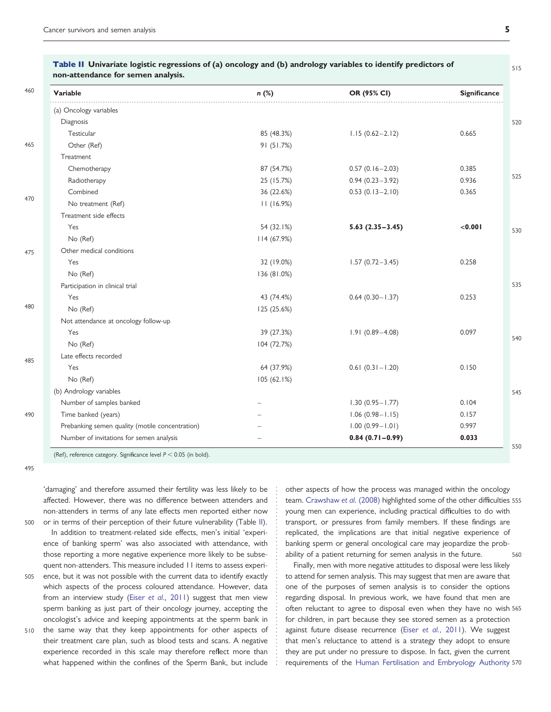<span id="page-4-0"></span>

| Variable                                        | n (%)       | OR (95% CI)          | <b>Significance</b> |
|-------------------------------------------------|-------------|----------------------|---------------------|
| (a) Oncology variables                          |             |                      |                     |
| Diagnosis                                       |             |                      |                     |
| Testicular                                      | 85 (48.3%)  | $1.15(0.62 - 2.12)$  | 0.665               |
| Other (Ref)                                     | 91 (51.7%)  |                      |                     |
| Treatment                                       |             |                      |                     |
| Chemotherapy                                    | 87 (54.7%)  | $0.57(0.16 - 2.03)$  | 0.385               |
| Radiotherapy                                    | 25 (15.7%)  | $0.94(0.23 - 3.92)$  | 0.936               |
| Combined                                        | 36 (22.6%)  | $0.53(0.13 - 2.10)$  | 0.365               |
| No treatment (Ref)                              | 11(16.9%)   |                      |                     |
| Treatment side effects                          |             |                      |                     |
| Yes                                             | 54 (32.1%)  | $5.63(2.35-3.45)$    | < 0.001             |
| No (Ref)                                        | 114 (67.9%) |                      |                     |
| Other medical conditions                        |             |                      |                     |
| Yes                                             | 32 (19.0%)  | $1.57(0.72 - 3.45)$  | 0.258               |
| No (Ref)                                        | 136 (81.0%) |                      |                     |
| Participation in clinical trial                 |             |                      |                     |
| Yes                                             | 43 (74.4%)  | $0.64$ (0.30 - 1.37) | 0.253               |
| No (Ref)                                        | 125 (25.6%) |                      |                     |
| Not attendance at oncology follow-up            |             |                      |                     |
| Yes                                             | 39 (27.3%)  | $1.91(0.89 - 4.08)$  | 0.097               |
| No (Ref)                                        | 104 (72.7%) |                      |                     |
| Late effects recorded                           |             |                      |                     |
| Yes                                             | 64 (37.9%)  | $0.61(0.31 - 1.20)$  | 0.150               |
| No (Ref)                                        | 105 (62.1%) |                      |                     |
| (b) Andrology variables                         |             |                      |                     |
| Number of samples banked                        |             | $1.30(0.95 - 1.77)$  | 0.104               |
| Time banked (years)                             |             | $1.06(0.98 - 1.15)$  | 0.157               |
| Prebanking semen quality (motile concentration) |             | $1.00(0.99 - 1.01)$  | 0.997               |
| Number of invitations for semen analysis        |             | $0.84(0.71 - 0.99)$  | 0.033               |

# Table II Univariate logistic regressions of (a) oncology and (b) andrology variables to identify predictors of

495

500

'damaging' and therefore assumed their fertility was less likely to be affected. However, there was no difference between attenders and non-attenders in terms of any late effects men reported either now or in terms of their perception of their future vulnerability (Table II).

In addition to treatment-related side effects, men's initial 'experience of banking sperm' was also associated with attendance, with those reporting a more negative experience more likely to be subsequent non-attenders. This measure included 11 items to assess experi-

- ence, but it was not possible with the current data to identify exactly which aspects of the process coloured attendance. However, data from an interview study (Eiser [et al.,](#page-7-0) 2011) suggest that men view sperm banking as just part of their oncology journey, accepting the oncologist's advice and keeping appointments at the sperm bank in 505
- the same way that they keep appointments for other aspects of their treatment care plan, such as blood tests and scans. A negative experience recorded in this scale may therefore reflect more than what happened within the confines of the Sperm Bank, but include 510

other aspects of how the process was managed within the oncology team. [Crawshaw](#page-7-0) et al. (2008) highlighted some of the other difficulties 555 young men can experience, including practical difficulties to do with transport, or pressures from family members. If these findings are replicated, the implications are that initial negative experience of banking sperm or general oncological care may jeopardize the probability of a patient returning for semen analysis in the future. 560

Finally, men with more negative attitudes to disposal were less likely to attend for semen analysis. This may suggest that men are aware that one of the purposes of semen analysis is to consider the options regarding disposal. In previous work, we have found that men are often reluctant to agree to disposal even when they have no wish 565 for children, in part because they see stored semen as a protection against future disease recurrence (Eiser et al.[, 2011\)](#page-7-0). We suggest that men's reluctance to attend is a strategy they adopt to ensure they are put under no pressure to dispose. In fact, given the current requirements of the [Human Fertilisation and Embryology Authority](#page-7-0) 570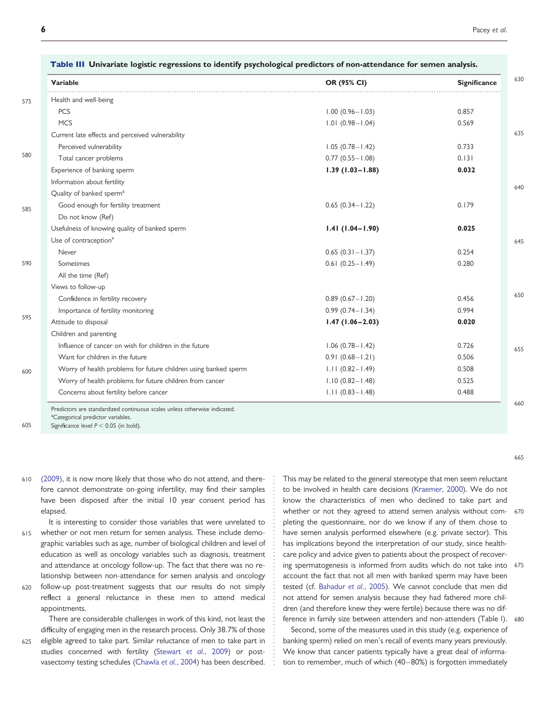<span id="page-5-0"></span>

| Variable                                                        | OR (95% CI)         | Significance |  |
|-----------------------------------------------------------------|---------------------|--------------|--|
| Health and well-being                                           |                     |              |  |
| <b>PCS</b>                                                      | $1.00(0.96 - 1.03)$ | 0.857        |  |
| <b>MCS</b>                                                      | $1.01(0.98 - 1.04)$ | 0.569        |  |
| Current late effects and perceived vulnerability                |                     |              |  |
| Perceived vulnerability                                         | $1.05(0.78 - 1.42)$ | 0.733        |  |
| Total cancer problems                                           | $0.77(0.55 - 1.08)$ | 0.131        |  |
| Experience of banking sperm                                     | $1.39(1.03 - 1.88)$ | 0.032        |  |
| Information about fertility                                     |                     |              |  |
| Quality of banked sperm <sup>a</sup>                            |                     |              |  |
| Good enough for fertility treatment                             | $0.65(0.34 - 1.22)$ | 0.179        |  |
| Do not know (Ref)                                               |                     |              |  |
| Usefulness of knowing quality of banked sperm                   | $1.41(1.04 - 1.90)$ | 0.025        |  |
| Use of contraception <sup>a</sup>                               |                     |              |  |
| Never                                                           | $0.65(0.31 - 1.37)$ | 0.254        |  |
| Sometimes                                                       | $0.61(0.25 - 1.49)$ | 0.280        |  |
| All the time (Ref)                                              |                     |              |  |
| Views to follow-up                                              |                     |              |  |
| Confidence in fertility recovery                                | $0.89(0.67 - 1.20)$ | 0.456        |  |
| Importance of fertility monitoring                              | $0.99(0.74 - 1.34)$ | 0.994        |  |
| Attitude to disposal                                            | $1.47(1.06 - 2.03)$ | 0.020        |  |
| Children and parenting                                          |                     |              |  |
| Influence of cancer on wish for children in the future          | $1.06(0.78 - 1.42)$ | 0.726        |  |
| Want for children in the future                                 | $0.91(0.68 - 1.21)$ | 0.506        |  |
| Worry of health problems for future children using banked sperm | $1.11(0.82 - 1.49)$ | 0.508        |  |
| Worry of health problems for future children from cancer        | $1.10(0.82 - 1.48)$ | 0.525        |  |
| Concerns about fertility before cancer                          | $1.11(0.83 - 1.48)$ | 0.488        |  |

<sup>a</sup>Categorical predictor variables. Significance level  $P < 0.05$  (in bold).

605

- [\(2009\)](#page-7-0), it is now more likely that those who do not attend, and therefore cannot demonstrate on-going infertility, may find their samples have been disposed after the initial 10 year consent period has elapsed. 610
- It is interesting to consider those variables that were unrelated to whether or not men return for semen analysis. These include demographic variables such as age, number of biological children and level of education as well as oncology variables such as diagnosis, treatment and attendance at oncology follow-up. The fact that there was no relationship between non-attendance for semen analysis and oncology 615
- follow-up post-treatment suggests that our results do not simply reflect a general reluctance in these men to attend medical appointments. 620

There are considerable challenges in work of this kind, not least the difficulty of engaging men in the research process. Only 38.7% of those

eligible agreed to take part. Similar reluctance of men to take part in studies concerned with fertility ([Stewart](#page-7-0) et al., 2009) or postvasectomy testing schedules ([Chawla](#page-7-0) et al., 2004) has been described. 625

This may be related to the general stereotype that men seem reluctant to be involved in health care decisions [\(Kraemer, 2000\)](#page-7-0). We do not know the characteristics of men who declined to take part and whether or not they agreed to attend semen analysis without com- 670 pleting the questionnaire, nor do we know if any of them chose to have semen analysis performed elsewhere (e.g. private sector). This has implications beyond the interpretation of our study, since healthcare policy and advice given to patients about the prospect of recovering spermatogenesis is informed from audits which do not take into 675 account the fact that not all men with banked sperm may have been tested (cf. [Bahadur](#page-7-0) et al., 2005). We cannot conclude that men did not attend for semen analysis because they had fathered more children (and therefore knew they were fertile) because there was no difference in family size between attenders and non-attenders (Table [I](#page-3-0)). 680

Second, some of the measures used in this study (e.g. experience of banking sperm) relied on men's recall of events many years previously. We know that cancer patients typically have a great deal of information to remember, much of which (40-80%) is forgotten immediately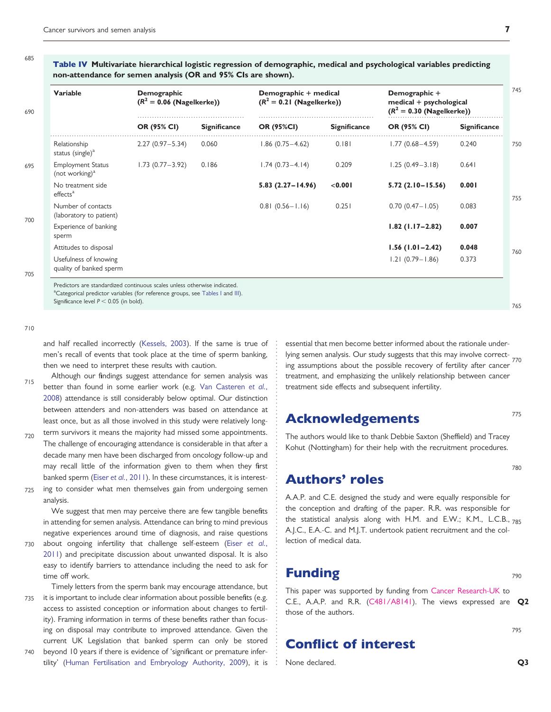<span id="page-6-0"></span>

| Table IV Multivariate hierarchical logistic regression of demographic, medical and psychological variables predicting |  |
|-----------------------------------------------------------------------------------------------------------------------|--|
| non-attendance for semen analysis (OR and 95% CIs are shown).                                                         |  |

| Variable                                             | Demographic<br>$(R^2 = 0.06$ (Nagelkerke)) |                     | Demographic + medical<br>$(R^2 = 0.21$ (Nagelkerke)) |                     | Demographic +<br>medical + psychological<br>$(R^2 = 0.30$ (Nagelkerke)) |                     |
|------------------------------------------------------|--------------------------------------------|---------------------|------------------------------------------------------|---------------------|-------------------------------------------------------------------------|---------------------|
|                                                      | OR (95% CI)                                | <b>Significance</b> | <b>OR (95%CI)</b>                                    | <b>Significance</b> | OR (95% CI)                                                             | <b>Significance</b> |
| Relationship<br>status (single) $a$                  | $2.27(0.97 - 5.34)$                        | 0.060               | $1.86(0.75 - 4.62)$                                  | 0.181               | $1.77(0.68 - 4.59)$                                                     | 0.240               |
| <b>Employment Status</b><br>(not working) $^{\rm a}$ | $1.73(0.77 - 3.92)$                        | 0.186               | $1.74(0.73 - 4.14)$                                  | 0.209               | $1.25(0.49 - 3.18)$                                                     | 0.641               |
| No treatment side<br>effects <sup>a</sup>            |                                            |                     | $5.83(2.27 - 14.96)$                                 | < 0.001             | $5.72(2.10 - 15.56)$                                                    | 0.001               |
| Number of contacts<br>(laboratory to patient)        |                                            |                     | $0.81(0.56 - 1.16)$                                  | 0.251               | $0.70(0.47 - 1.05)$                                                     | 0.083               |
| Experience of banking<br>sperm                       |                                            |                     |                                                      |                     | $1.82$ (1.17-2.82)                                                      | 0.007               |
| Attitudes to disposal                                |                                            |                     |                                                      |                     | $1.56(1.01 - 2.42)$                                                     | 0.048               |
| Usefulness of knowing<br>quality of banked sperm     |                                            |                     |                                                      |                     | $1.21(0.79 - 1.86)$                                                     | 0.373               |

Predictors are standardized continuous scales unless otherwise indicated. <sup>a</sup>Categorical predictor variables (for reference groups, see [Tables I](#page-3-0) and [III\)](#page-5-0). Significance level  $P < 0.05$  (in bold).

710

and half recalled incorrectly ([Kessels, 2003\)](#page-7-0). If the same is true of men's recall of events that took place at the time of sperm banking, then we need to interpret these results with caution.

- Although our findings suggest attendance for semen analysis was better than found in some earlier work (e.g. [Van Casteren](#page-7-0) et al., [2008](#page-7-0)) attendance is still considerably below optimal. Our distinction between attenders and non-attenders was based on attendance at least once, but as all those involved in this study were relatively long-715
- term survivors it means the majority had missed some appointments. The challenge of encouraging attendance is considerable in that after a decade many men have been discharged from oncology follow-up and may recall little of the information given to them when they first banked sperm (Eiser et al.[, 2011](#page-7-0)). In these circumstances, it is interest-720
- ing to consider what men themselves gain from undergoing semen analysis. 725

We suggest that men may perceive there are few tangible benefits in attending for semen analysis. Attendance can bring to mind previous negative experiences around time of diagnosis, and raise questions

about ongoing infertility that challenge self-esteem (Eiser [et al.](#page-7-0), [2011](#page-7-0)) and precipitate discussion about unwanted disposal. It is also easy to identify barriers to attendance including the need to ask for time off work. 730

Timely letters from the sperm bank may encourage attendance, but it is important to include clear information about possible benefits (e.g. access to assisted conception or information about changes to fertility). Framing information in terms of these benefits rather than focusing on disposal may contribute to improved attendance. Given the current UK Legislation that banked sperm can only be stored beyond 10 years if there is evidence of 'significant or premature infer-735 740

tility' ([Human Fertilisation and Embryology Authority, 2009](#page-7-0)), it is

essential that men become better informed about the rationale underlying semen analysis. Our study suggests that this may involve correct-770 ing assumptions about the possible recovery of fertility after cancer treatment, and emphasizing the unlikely relationship between cancer treatment side effects and subsequent infertility.

### Acknowledgements

The authors would like to thank Debbie Saxton (Sheffield) and Tracey Kohut (Nottingham) for their help with the recruitment procedures.

### Authors' roles

A.A.P. and C.E. designed the study and were equally responsible for the conception and drafting of the paper. R.R. was responsible for the statistical analysis along with H.M. and E.W.; K.M., L.C.B., <sub>785</sub> A.J.C., E.A.-C. and M.J.T. undertook patient recruitment and the collection of medical data.

## Funding

This paper was supported by funding from Cancer Research-UK to C.E., A.A.P. and R.R. (C481/A8141). The views expressed are Q2 those of the authors.

## Conflict of interest

None declared. **Q3** 

765

775

780